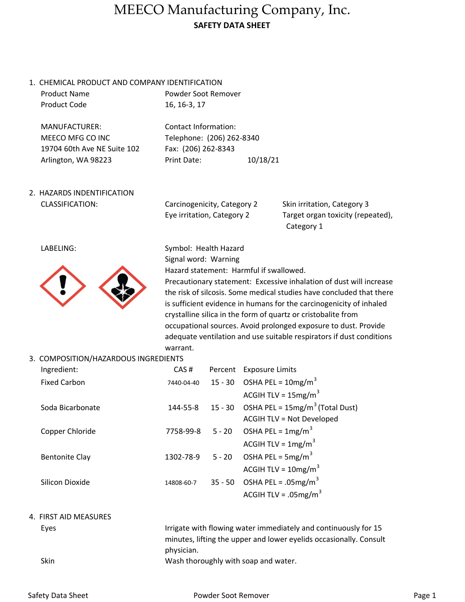## MEECO Manufacturing Company, Inc. SAFETY DATA SHEET

1. CHEMICAL PRODUCT AND COMPANY IDENTIFICATION Product Name

| 110000001110        |  |
|---------------------|--|
| <b>Product Code</b> |  |

Powder Soot Remover 16, 16-3, 17

MANUFACTURER: Contact Information: MEECO MFG CO INC Telephone: (206) 262-8340 19704 60th Ave NE Suite 102 Fax: (206) 262-8343

Arlington, WA 98223 Print Date: 10/18/21

2. HAZARDS INDENTIFICATION CLASSIFICATION:

Carcinogenicity, Category 2 Eye irritation, Category 2

 Category 1 Skin irritation, Category 3 Target organ toxicity (repeated),

LABELING:



Symbol: Health Hazard Signal word: Warning Hazard statement: Harmful if swallowed. Precautionary statement: Excessive inhalation of dust will increase the risk of silcosis. Some medical studies have concluded that there is sufficient evidence in humans for the carcinogenicity of inhaled crystalline silica in the form of quartz or cristobalite from occupational sources. Avoid prolonged exposure to dust. Provide adequate ventilation and use suitable respirators if dust conditions warrant.

3. COMPOSITION/HAZARDOUS INGREDIENTS

| Ingredient:           | CAS#       | Percent  | <b>Exposure Limits</b>                     |
|-----------------------|------------|----------|--------------------------------------------|
| <b>Fixed Carbon</b>   | 7440-04-40 |          | 15 - 30 OSHA PEL = $10mg/m^3$              |
|                       |            |          | ACGIH TLV = $15mg/m3$                      |
| Soda Bicarbonate      | 144-55-8   |          | 15 - 30 OSHA PEL = $15mg/m^3$ (Total Dust) |
|                       |            |          | <b>ACGIH TLV = Not Developed</b>           |
| Copper Chloride       | 7758-99-8  | $5 - 20$ | OSHA PEL = $1 \text{mg/m}^3$               |
|                       |            |          | ACGIH TLV = $1 \text{mg/m}^3$              |
| <b>Bentonite Clay</b> | 1302-78-9  |          | 5 - 20 OSHA PEL = $5mg/m^3$                |
|                       |            |          | ACGIH TLV = $10$ mg/m <sup>3</sup>         |
| Silicon Dioxide       | 14808-60-7 |          | 35 - 50 OSHA PEL = .05mg/m <sup>3</sup>    |
|                       |            |          | ACGIH TLV = $.05$ mg/m <sup>3</sup>        |
|                       |            |          |                                            |

### 4. FIRST AID MEASURES

Eyes

Wash thoroughly with soap and water. Irrigate with flowing water immediately and continuously for 15 minutes, lifting the upper and lower eyelids occasionally. Consult physician.

Skin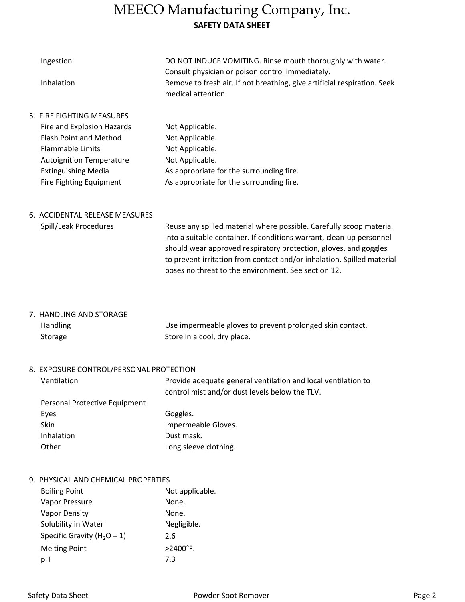## MEECO Manufacturing Company, Inc. SAFETY DATA SHEET

| Ingestion                       | DO NOT INDUCE VOMITING. Rinse mouth thoroughly with water.<br>Consult physician or poison control immediately. |
|---------------------------------|----------------------------------------------------------------------------------------------------------------|
| Inhalation                      | Remove to fresh air. If not breathing, give artificial respiration. Seek<br>medical attention.                 |
| 5. FIRE FIGHTING MEASURES       |                                                                                                                |
| Fire and Explosion Hazards      | Not Applicable.                                                                                                |
| <b>Flash Point and Method</b>   | Not Applicable.                                                                                                |
| <b>Flammable Limits</b>         | Not Applicable.                                                                                                |
| <b>Autoignition Temperature</b> | Not Applicable.                                                                                                |
| <b>Extinguishing Media</b>      | As appropriate for the surrounding fire.                                                                       |
| Fire Fighting Equipment         | As appropriate for the surrounding fire.                                                                       |
|                                 |                                                                                                                |

### 6. ACCIDENTAL RELEASE MEASURES

|  | Spill/Leak Procedures |
|--|-----------------------|
|--|-----------------------|

Reuse any spilled material where possible. Carefully scoop material into a suitable container. If conditions warrant, clean-up personnel should wear approved respiratory protection, gloves, and goggles to prevent irritation from contact and/or inhalation. Spilled material poses no threat to the environment. See section 12.

7. HANDLING AND STORAGE Handling

Storage

Use impermeable gloves to prevent prolonged skin contact. Store in a cool, dry place.

### 8. EXPOSURE CONTROL/PERSONAL PROTECTION

| Ventilation                   | Provide adequate general ventilation and local ventilation to |
|-------------------------------|---------------------------------------------------------------|
|                               | control mist and/or dust levels below the TLV.                |
| Personal Protective Equipment |                                                               |
| Eyes                          | Goggles.                                                      |
| <b>Skin</b>                   | Impermeable Gloves.                                           |
| Inhalation                    | Dust mask.                                                    |
| Other                         | Long sleeve clothing.                                         |

#### 9. PHYSICAL AND CHEMICAL PROPERTIES

| <b>Boiling Point</b>            | Not applicable.    |
|---------------------------------|--------------------|
| Vapor Pressure                  | None.              |
| <b>Vapor Density</b>            | None.              |
| Solubility in Water             | Negligible.        |
| Specific Gravity ( $H_2O = 1$ ) | 2.6                |
| <b>Melting Point</b>            | $>2400^{\circ}$ F. |
| pН                              | 7.3                |